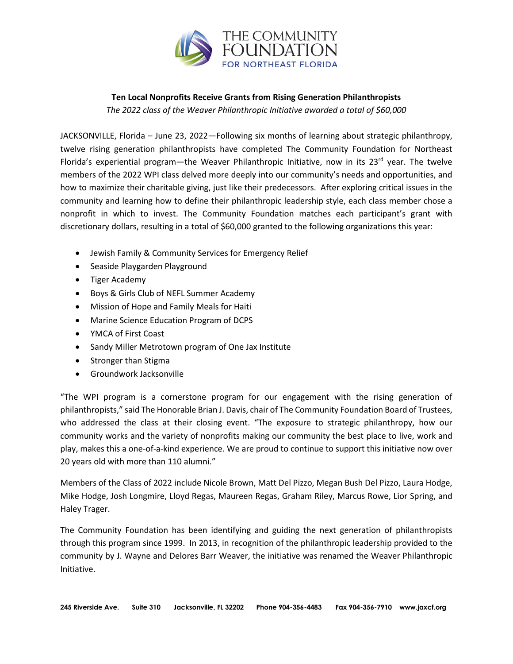

## **Ten Local Nonprofits Receive Grants from Rising Generation Philanthropists**

*The 2022 class of the Weaver Philanthropic Initiative awarded a total of \$60,000*

JACKSONVILLE, Florida – June 23, 2022—Following six months of learning about strategic philanthropy, twelve rising generation philanthropists have completed The Community Foundation for Northeast Florida's experiential program—the Weaver Philanthropic Initiative, now in its 23<sup>rd</sup> year. The twelve members of the 2022 WPI class delved more deeply into our community's needs and opportunities, and how to maximize their charitable giving, just like their predecessors. After exploring critical issues in the community and learning how to define their philanthropic leadership style, each class member chose a nonprofit in which to invest. The Community Foundation matches each participant's grant with discretionary dollars, resulting in a total of \$60,000 granted to the following organizations this year:

- Jewish Family & Community Services for Emergency Relief
- Seaside Playgarden Playground
- Tiger Academy
- Boys & Girls Club of NEFL Summer Academy
- Mission of Hope and Family Meals for Haiti
- Marine Science Education Program of DCPS
- YMCA of First Coast
- Sandy Miller Metrotown program of One Jax Institute
- Stronger than Stigma
- Groundwork Jacksonville

"The WPI program is a cornerstone program for our engagement with the rising generation of philanthropists," said The Honorable Brian J. Davis, chair of The Community Foundation Board of Trustees, who addressed the class at their closing event. "The exposure to strategic philanthropy, how our community works and the variety of nonprofits making our community the best place to live, work and play, makes this a one-of-a-kind experience. We are proud to continue to support this initiative now over 20 years old with more than 110 alumni."

Members of the Class of 2022 include Nicole Brown, Matt Del Pizzo, Megan Bush Del Pizzo, Laura Hodge, Mike Hodge, Josh Longmire, Lloyd Regas, Maureen Regas, Graham Riley, Marcus Rowe, Lior Spring, and Haley Trager.

The Community Foundation has been identifying and guiding the next generation of philanthropists through this program since 1999. In 2013, in recognition of the philanthropic leadership provided to the community by J. Wayne and Delores Barr Weaver, the initiative was renamed the Weaver Philanthropic Initiative.